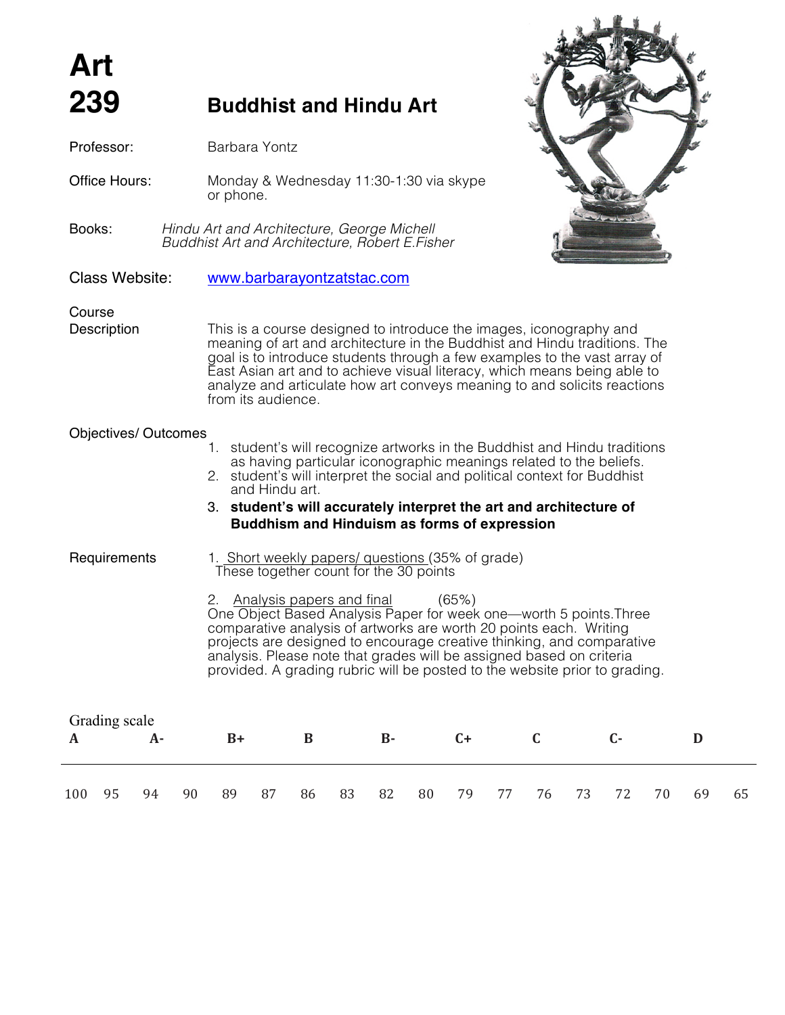# **239 Buddhist and Hindu Art**

*Buddhist Art and Architecture, Robert E.Fisher*

Office Hours: Monday & Wednesday 11:30-1:30 via skype

Class Website: www.barbarayontzatstac.com

or phone.

Books: *Hindu Art and Architecture, George Michell*

Professor: Barbara Yontz

# Course

**Description** This is a course designed to introduce the images, iconography and meaning of art and architecture in the Buddhist and Hindu traditions. The goal is to introduce students through a few examples to the vast array of East Asian art and to achieve visual literacy, which means being able to analyze and articulate how art conveys meaning to and solicits reactions from its audience.

# Objectives/ Outcomes

- 1. student's will recognize artworks in the Buddhist and Hindu traditions as having particular iconographic meanings related to the beliefs.
- 2. student's will interpret the social and political context for Buddhist and Hindu art.

## 3. **student's will accurately interpret the art and architecture of Buddhism and Hinduism as forms of expression**

Requirements 1. Short weekly papers/ questions (35% of grade) These together count for the 30 points

> 2. Analysis papers and final (65%) One Object Based Analysis Paper for week one—worth 5 points.Three comparative analysis of artworks are worth 20 points each. Writing projects are designed to encourage creative thinking, and comparative analysis. Please note that grades will be assigned based on criteria provided. A grading rubric will be posted to the website prior to grading.

| Grading scale |    |    |    |      |    |    |    |                |    |      |    |       |      |    |    |    |
|---------------|----|----|----|------|----|----|----|----------------|----|------|----|-------|------|----|----|----|
|               |    | А- |    | $B+$ |    | В  |    | $\mathbf{B}$ - |    | $C+$ |    |       | $C-$ |    |    |    |
|               |    |    |    |      |    |    |    |                |    |      |    |       |      |    |    |    |
|               |    |    |    |      |    |    |    |                |    |      |    |       |      |    |    |    |
| 100           | 95 | 94 | 90 | 89   | 87 | 86 | 83 | 82             | 80 | 79   | 77 | 76 73 | 72   | 70 | 69 | 65 |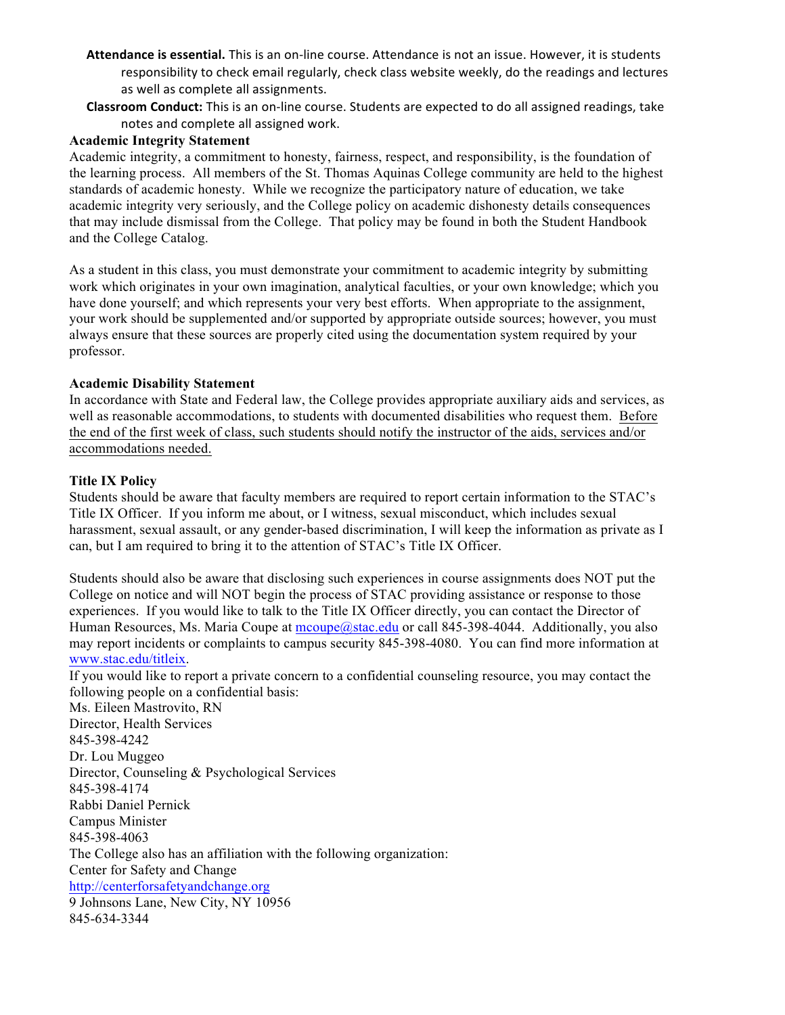- Attendance is essential. This is an on-line course. Attendance is not an issue. However, it is students responsibility to check email regularly, check class website weekly, do the readings and lectures as well as complete all assignments.
- **Classroom Conduct:** This is an on-line course. Students are expected to do all assigned readings, take notes and complete all assigned work.

### **Academic Integrity Statement**

Academic integrity, a commitment to honesty, fairness, respect, and responsibility, is the foundation of the learning process. All members of the St. Thomas Aquinas College community are held to the highest standards of academic honesty. While we recognize the participatory nature of education, we take academic integrity very seriously, and the College policy on academic dishonesty details consequences that may include dismissal from the College. That policy may be found in both the Student Handbook and the College Catalog.

As a student in this class, you must demonstrate your commitment to academic integrity by submitting work which originates in your own imagination, analytical faculties, or your own knowledge; which you have done yourself; and which represents your very best efforts. When appropriate to the assignment, your work should be supplemented and/or supported by appropriate outside sources; however, you must always ensure that these sources are properly cited using the documentation system required by your professor.

#### **Academic Disability Statement**

In accordance with State and Federal law, the College provides appropriate auxiliary aids and services, as well as reasonable accommodations, to students with documented disabilities who request them. Before the end of the first week of class, such students should notify the instructor of the aids, services and/or accommodations needed.

#### **Title IX Policy**

Students should be aware that faculty members are required to report certain information to the STAC's Title IX Officer. If you inform me about, or I witness, sexual misconduct, which includes sexual harassment, sexual assault, or any gender-based discrimination, I will keep the information as private as I can, but I am required to bring it to the attention of STAC's Title IX Officer.

Students should also be aware that disclosing such experiences in course assignments does NOT put the College on notice and will NOT begin the process of STAC providing assistance or response to those experiences. If you would like to talk to the Title IX Officer directly, you can contact the Director of Human Resources, Ms. Maria Coupe at mcoupe@stac.edu or call 845-398-4044. Additionally, you also may report incidents or complaints to campus security 845-398-4080. You can find more information at www.stac.edu/titleix.

If you would like to report a private concern to a confidential counseling resource, you may contact the following people on a confidential basis:

Ms. Eileen Mastrovito, RN Director, Health Services 845-398-4242 Dr. Lou Muggeo Director, Counseling & Psychological Services 845-398-4174 Rabbi Daniel Pernick Campus Minister 845-398-4063 The College also has an affiliation with the following organization: Center for Safety and Change http://centerforsafetyandchange.org 9 Johnsons Lane, New City, NY 10956 845-634-3344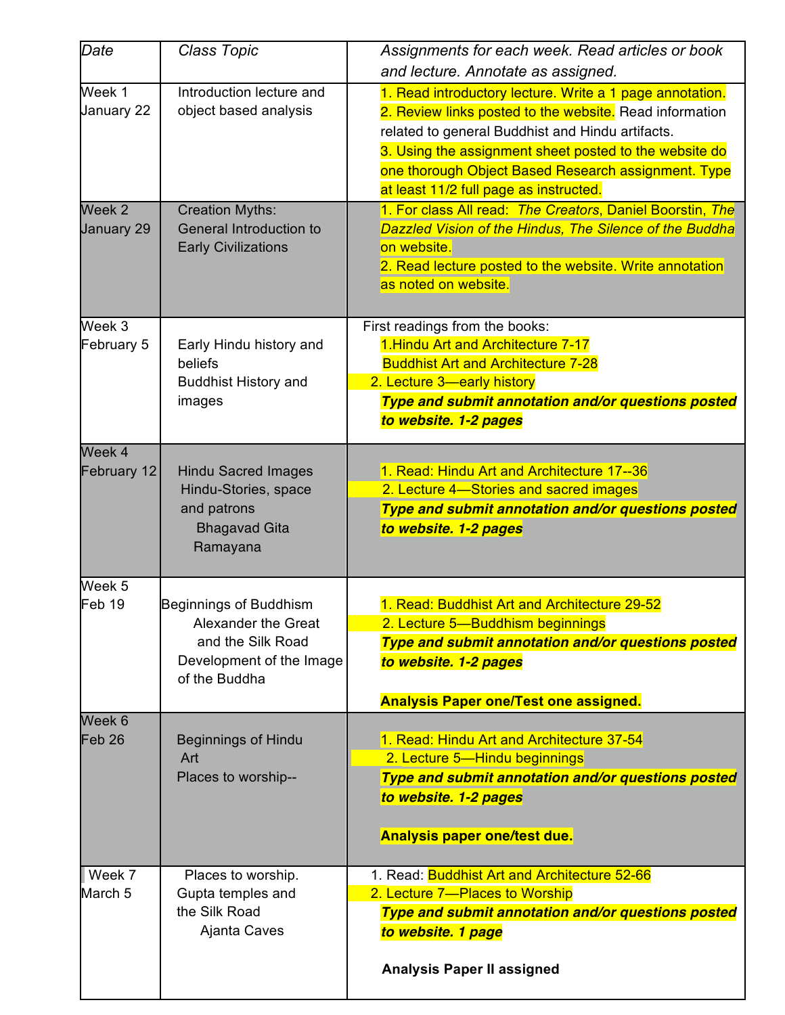| Date                                                    | <b>Class Topic</b>                                                                                                                   | Assignments for each week. Read articles or book<br>and lecture. Annotate as assigned.                                                                                                                                                                                                                                                                                                                                                                                                                                                                       |
|---------------------------------------------------------|--------------------------------------------------------------------------------------------------------------------------------------|--------------------------------------------------------------------------------------------------------------------------------------------------------------------------------------------------------------------------------------------------------------------------------------------------------------------------------------------------------------------------------------------------------------------------------------------------------------------------------------------------------------------------------------------------------------|
| Week 1<br>January 22<br>Week <sub>2</sub><br>January 29 | Introduction lecture and<br>object based analysis<br><b>Creation Myths:</b><br>General Introduction to<br><b>Early Civilizations</b> | 1. Read introductory lecture. Write a 1 page annotation.<br>2. Review links posted to the website. Read information<br>related to general Buddhist and Hindu artifacts.<br>3. Using the assignment sheet posted to the website do<br>one thorough Object Based Research assignment. Type<br>at least 11/2 full page as instructed.<br>1. For class All read: The Creators, Daniel Boorstin, The<br>Dazzled Vision of the Hindus, The Silence of the Buddha<br>on website.<br>2. Read lecture posted to the website. Write annotation<br>as noted on website. |
| Week 3                                                  |                                                                                                                                      | First readings from the books:                                                                                                                                                                                                                                                                                                                                                                                                                                                                                                                               |
| February 5                                              | Early Hindu history and<br>beliefs<br><b>Buddhist History and</b><br>images                                                          | 1. Hindu Art and Architecture 7-17<br><b>Buddhist Art and Architecture 7-28</b><br>2. Lecture 3-early history<br>Type and submit annotation and/or questions posted<br>to website. 1-2 pages                                                                                                                                                                                                                                                                                                                                                                 |
| Week 4<br>February 12                                   | <b>Hindu Sacred Images</b><br>Hindu-Stories, space<br>and patrons<br><b>Bhagavad Gita</b><br>Ramayana                                | 1. Read: Hindu Art and Architecture 17--36<br>2. Lecture 4-Stories and sacred images<br>Type and submit annotation and/or questions posted<br>to website. 1-2 pages                                                                                                                                                                                                                                                                                                                                                                                          |
| Week 5<br>Feb 19                                        | <b>Beginnings of Buddhism</b><br>Alexander the Great<br>and the Silk Road<br>Development of the Image<br>of the Buddha               | 1. Read: Buddhist Art and Architecture 29-52<br>2. Lecture 5-Buddhism beginnings<br>Type and submit annotation and/or questions posted<br>to website. 1-2 pages                                                                                                                                                                                                                                                                                                                                                                                              |
| Week 6                                                  |                                                                                                                                      | <b>Analysis Paper one/Test one assigned.</b>                                                                                                                                                                                                                                                                                                                                                                                                                                                                                                                 |
| Feb <sub>26</sub>                                       | <b>Beginnings of Hindu</b><br>Art<br>Places to worship--                                                                             | 1. Read: Hindu Art and Architecture 37-54<br>2. Lecture 5-Hindu beginnings<br>Type and submit annotation and/or questions posted<br>to website. 1-2 pages<br><b>Analysis paper one/test due.</b>                                                                                                                                                                                                                                                                                                                                                             |
| Week 7<br>March 5                                       | Places to worship.<br>Gupta temples and<br>the Silk Road<br>Ajanta Caves                                                             | 1. Read: Buddhist Art and Architecture 52-66<br>2. Lecture 7-Places to Worship<br>Type and submit annotation and/or questions posted<br>to website. 1 page                                                                                                                                                                                                                                                                                                                                                                                                   |
|                                                         |                                                                                                                                      | <b>Analysis Paper II assigned</b>                                                                                                                                                                                                                                                                                                                                                                                                                                                                                                                            |